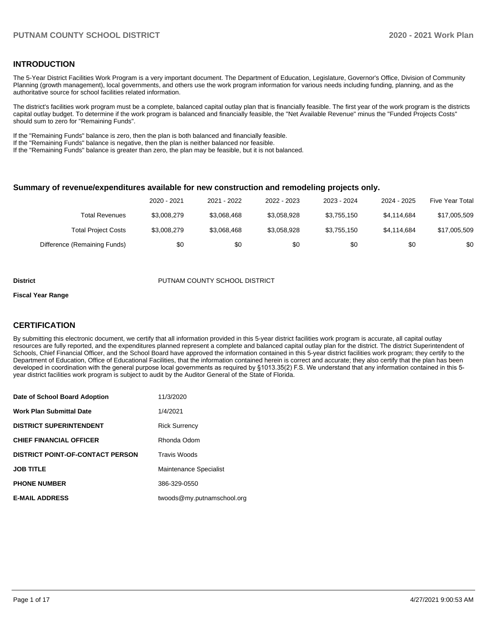### **INTRODUCTION**

The 5-Year District Facilities Work Program is a very important document. The Department of Education, Legislature, Governor's Office, Division of Community Planning (growth management), local governments, and others use the work program information for various needs including funding, planning, and as the authoritative source for school facilities related information.

The district's facilities work program must be a complete, balanced capital outlay plan that is financially feasible. The first year of the work program is the districts capital outlay budget. To determine if the work program is balanced and financially feasible, the "Net Available Revenue" minus the "Funded Projects Costs" should sum to zero for "Remaining Funds".

If the "Remaining Funds" balance is zero, then the plan is both balanced and financially feasible.

If the "Remaining Funds" balance is negative, then the plan is neither balanced nor feasible.

If the "Remaining Funds" balance is greater than zero, the plan may be feasible, but it is not balanced.

#### **Summary of revenue/expenditures available for new construction and remodeling projects only.**

|                              | 2020 - 2021 | 2021 - 2022 | 2022 - 2023 | 2023 - 2024 | 2024 - 2025 | Five Year Total |
|------------------------------|-------------|-------------|-------------|-------------|-------------|-----------------|
| Total Revenues               | \$3,008,279 | \$3.068.468 | \$3,058,928 | \$3,755,150 | \$4.114.684 | \$17,005,509    |
| <b>Total Project Costs</b>   | \$3,008,279 | \$3,068,468 | \$3,058,928 | \$3,755,150 | \$4.114.684 | \$17,005,509    |
| Difference (Remaining Funds) | \$0         | \$0         | \$0         | \$0         | \$0         | \$0             |

#### **District COUNTY SCHOOL DISTRICT** PUTNAM COUNTY SCHOOL DISTRICT

#### **Fiscal Year Range**

# **CERTIFICATION**

By submitting this electronic document, we certify that all information provided in this 5-year district facilities work program is accurate, all capital outlay resources are fully reported, and the expenditures planned represent a complete and balanced capital outlay plan for the district. The district Superintendent of Schools, Chief Financial Officer, and the School Board have approved the information contained in this 5-year district facilities work program; they certify to the Department of Education, Office of Educational Facilities, that the information contained herein is correct and accurate; they also certify that the plan has been developed in coordination with the general purpose local governments as required by §1013.35(2) F.S. We understand that any information contained in this 5 year district facilities work program is subject to audit by the Auditor General of the State of Florida.

| Date of School Board Adoption           | 11/3/2020                  |
|-----------------------------------------|----------------------------|
| Work Plan Submittal Date                | 1/4/2021                   |
| <b>DISTRICT SUPERINTENDENT</b>          | <b>Rick Surrency</b>       |
| <b>CHIEF FINANCIAL OFFICER</b>          | Rhonda Odom                |
| <b>DISTRICT POINT-OF-CONTACT PERSON</b> | <b>Travis Woods</b>        |
| JOB TITLE                               | Maintenance Specialist     |
| <b>PHONE NUMBER</b>                     | 386-329-0550               |
| <b>E-MAIL ADDRESS</b>                   | twoods@my.putnamschool.org |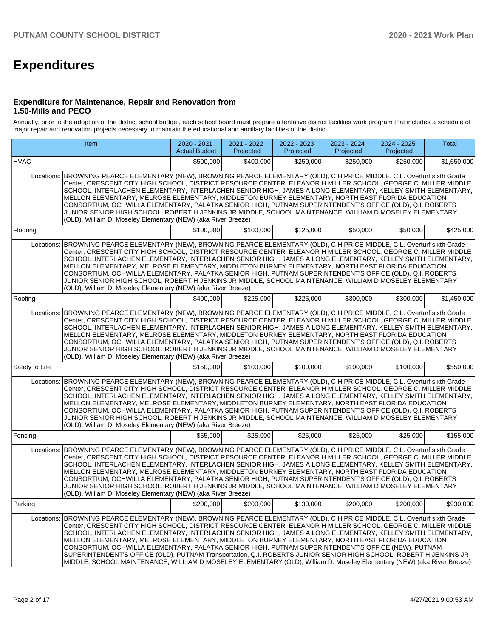# **Expenditures**

### **Expenditure for Maintenance, Repair and Renovation from 1.50-Mills and PECO**

Annually, prior to the adoption of the district school budget, each school board must prepare a tentative district facilities work program that includes a schedule of major repair and renovation projects necessary to maintain the educational and ancillary facilities of the district.

|                | Item                                                                                                                                                                                                                                                                                                                                                                                                                                                                                                                                                                                                                                                                                                                                                                                                    | 2020 - 2021<br><b>Actual Budget</b> | 2021 - 2022<br>Projected | 2022 - 2023<br>Projected | 2023 - 2024<br>Projected | 2024 - 2025<br>Projected | <b>Total</b> |  |  |  |  |
|----------------|---------------------------------------------------------------------------------------------------------------------------------------------------------------------------------------------------------------------------------------------------------------------------------------------------------------------------------------------------------------------------------------------------------------------------------------------------------------------------------------------------------------------------------------------------------------------------------------------------------------------------------------------------------------------------------------------------------------------------------------------------------------------------------------------------------|-------------------------------------|--------------------------|--------------------------|--------------------------|--------------------------|--------------|--|--|--|--|
| <b>HVAC</b>    |                                                                                                                                                                                                                                                                                                                                                                                                                                                                                                                                                                                                                                                                                                                                                                                                         | \$500.000                           | \$400,000                | \$250.000                | \$250,000                | \$250,000                | \$1,650,000  |  |  |  |  |
|                | Locations: BROWNING PEARCE ELEMENTARY (NEW), BROWNING PEARCE ELEMENTARY (OLD), C H PRICE MIDDLE, C.L. Overturf sixth Grade<br>Center, CRESCENT CITY HIGH SCHOOL, DISTRICT RESOURCE CENTER, ELEANOR H MILLER SCHOOL, GEORGE C. MILLER MIDDLE<br>SCHOOL, INTERLACHEN ELEMENTARY, INTERLACHEN SENIOR HIGH, JAMES A LONG ELEMENTARY, KELLEY SMITH ELEMENTARY,<br>MELLON ELEMENTARY, MELROSE ELEMENTARY, MIDDLETON BURNEY ELEMENTARY, NORTH EAST FLORIDA EDUCATION<br>CONSORTIUM, OCHWILLA ELEMENTARY, PALATKA SENIOR HIGH, PUTNAM SUPERINTENDENT'S OFFICE (OLD), Q.I. ROBERTS<br>JUNIOR SENIOR HIGH SCHOOL, ROBERT H JENKINS JR MIDDLE, SCHOOL MAINTENANCE, WILLIAM D MOSELEY ELEMENTARY<br>(OLD), William D. Moseley Elementary (NEW) (aka River Breeze)                                                   |                                     |                          |                          |                          |                          |              |  |  |  |  |
| Flooring       |                                                                                                                                                                                                                                                                                                                                                                                                                                                                                                                                                                                                                                                                                                                                                                                                         | \$100,000                           | \$100,000                | \$125,000                | \$50,000                 | \$50,000                 | \$425,000    |  |  |  |  |
|                | Locations: BROWNING PEARCE ELEMENTARY (NEW), BROWNING PEARCE ELEMENTARY (OLD), C H PRICE MIDDLE, C.L. Overturf sixth Grade<br>Center, CRESCENT CITY HIGH SCHOOL, DISTRICT RESOURCE CENTER, ELEANOR H MILLER SCHOOL, GEORGE C. MILLER MIDDLE<br>SCHOOL, INTERLACHEN ELEMENTARY, INTERLACHEN SENIOR HIGH, JAMES A LONG ELEMENTARY, KELLEY SMITH ELEMENTARY,<br>MELLON ELEMENTARY, MELROSE ELEMENTARY, MIDDLETON BURNEY ELEMENTARY, NORTH EAST FLORIDA EDUCATION<br>CONSORTIUM, OCHWILLA ELEMENTARY, PALATKA SENIOR HIGH, PUTNAM SUPERINTENDENT'S OFFICE (OLD), Q.I. ROBERTS<br>JUNIOR SENIOR HIGH SCHOOL, ROBERT H JENKINS JR MIDDLE, SCHOOL MAINTENANCE, WILLIAM D MOSELEY ELEMENTARY<br>(OLD), William D. Moseley Elementary (NEW) (aka River Breeze)                                                   |                                     |                          |                          |                          |                          |              |  |  |  |  |
| Roofing        |                                                                                                                                                                                                                                                                                                                                                                                                                                                                                                                                                                                                                                                                                                                                                                                                         | \$400,000                           | \$225,000                | \$225,000                | \$300,000                | \$300,000                | \$1,450,000  |  |  |  |  |
| Locations:     | BROWNING PEARCE ELEMENTARY (NEW), BROWNING PEARCE ELEMENTARY (OLD), C H PRICE MIDDLE, C.L. Overturf sixth Grade<br>Center, CRESCENT CITY HIGH SCHOOL, DISTRICT RESOURCE CENTER, ELEANOR H MILLER SCHOOL, GEORGE C. MILLER MIDDLE<br>SCHOOL, INTERLACHEN ELEMENTARY, INTERLACHEN SENIOR HIGH, JAMES A LONG ELEMENTARY, KELLEY SMITH ELEMENTARY,<br>MELLON ELEMENTARY, MELROSE ELEMENTARY, MIDDLETON BURNEY ELEMENTARY, NORTH EAST FLORIDA EDUCATION<br>CONSORTIUM, OCHWILLA ELEMENTARY, PALATKA SENIOR HIGH, PUTNAM SUPERINTENDENT'S OFFICE (OLD), Q.I. ROBERTS<br>JUNIOR SENIOR HIGH SCHOOL, ROBERT H JENKINS JR MIDDLE, SCHOOL MAINTENANCE, WILLIAM D MOSELEY ELEMENTARY<br>(OLD), William D. Moselev Elementary (NEW) (aka River Breeze)                                                              |                                     |                          |                          |                          |                          |              |  |  |  |  |
| Safety to Life |                                                                                                                                                                                                                                                                                                                                                                                                                                                                                                                                                                                                                                                                                                                                                                                                         | \$150,000                           | \$100,000                | \$100,000                | \$100.000                | \$100,000                | \$550,000    |  |  |  |  |
| Locations:     | BROWNING PEARCE ELEMENTARY (NEW), BROWNING PEARCE ELEMENTARY (OLD), C H PRICE MIDDLE, C.L. Overturf sixth Grade<br>Center, CRESCENT CITY HIGH SCHOOL, DISTRICT RESOURCE CENTER, ELEANOR H MILLER SCHOOL, GEORGE C. MILLER MIDDLE<br>SCHOOL, INTERLACHEN ELEMENTARY, INTERLACHEN SENIOR HIGH, JAMES A LONG ELEMENTARY, KELLEY SMITH ELEMENTARY,<br>MELLON ELEMENTARY, MELROSE ELEMENTARY, MIDDLETON BURNEY ELEMENTARY, NORTH EAST FLORIDA EDUCATION<br>CONSORTIUM, OCHWILLA ELEMENTARY, PALATKA SENIOR HIGH, PUTNAM SUPERINTENDENT'S OFFICE (OLD), Q.I. ROBERTS<br>JUNIOR SENIOR HIGH SCHOOL, ROBERT H JENKINS JR MIDDLE, SCHOOL MAINTENANCE, WILLIAM D MOSELEY ELEMENTARY<br>(OLD), William D. Moseley Elementary (NEW) (aka River Breeze)                                                              |                                     |                          |                          |                          |                          |              |  |  |  |  |
| Fencing        |                                                                                                                                                                                                                                                                                                                                                                                                                                                                                                                                                                                                                                                                                                                                                                                                         | \$55,000                            | \$25,000                 | \$25,000                 | \$25,000                 | \$25,000                 | \$155,000    |  |  |  |  |
| Locations:     | BROWNING PEARCE ELEMENTARY (NEW), BROWNING PEARCE ELEMENTARY (OLD), C H PRICE MIDDLE, C.L. Overturf sixth Grade<br>Center, CRESCENT CITY HIGH SCHOOL, DISTRICT RESOURCE CENTER, ELEANOR H MILLER SCHOOL, GEORGE C. MILLER MIDDLE<br>SCHOOL. INTERLACHEN ELEMENTARY. INTERLACHEN SENIOR HIGH. JAMES A LONG ELEMENTARY. KELLEY SMITH ELEMENTARY.<br>MELLON ELEMENTARY, MELROSE ELEMENTARY, MIDDLETON BURNEY ELEMENTARY, NORTH EAST FLORIDA EDUCATION<br>CONSORTIUM, OCHWILLA ELEMENTARY, PALATKA SENIOR HIGH, PUTNAM SUPERINTENDENT'S OFFICE (OLD), Q.I. ROBERTS<br>JUNIOR SENIOR HIGH SCHOOL, ROBERT H JENKINS JR MIDDLE, SCHOOL MAINTENANCE, WILLIAM D MOSELEY ELEMENTARY<br>(OLD), William D. Moseley Elementary (NEW) (aka River Breeze)                                                              |                                     |                          |                          |                          |                          |              |  |  |  |  |
| Parking        |                                                                                                                                                                                                                                                                                                                                                                                                                                                                                                                                                                                                                                                                                                                                                                                                         | \$200,000                           | \$200,000                | \$130,000                | \$200,000                | \$200,000                | \$930,000    |  |  |  |  |
| Locations:     | BROWNING PEARCE ELEMENTARY (NEW), BROWNING PEARCE ELEMENTARY (OLD), C H PRICE MIDDLE, C.L. Overturf sixth Grade<br>Center, CRESCENT CITY HIGH SCHOOL, DISTRICT RESOURCE CENTER, ELEANOR H MILLER SCHOOL, GEORGE C. MILLER MIDDLE<br>SCHOOL, INTERLACHEN ELEMENTARY, INTERLACHEN SENIOR HIGH, JAMES A LONG ELEMENTARY, KELLEY SMITH ELEMENTARY,<br>MELLON ELEMENTARY, MELROSE ELEMENTARY, MIDDLETON BURNEY ELEMENTARY, NORTH EAST FLORIDA EDUCATION<br>CONSORTIUM, OCHWILLA ELEMENTARY, PALATKA SENIOR HIGH, PUTNAM SUPERINTENDENT'S OFFICE (NEW), PUTNAM<br>SUPERINTENDENT'S OFFICE (OLD), PUTNAM Transportation, Q.I. ROBERTS JUNIOR SENIOR HIGH SCHOOL, ROBERT H JENKINS JR<br>MIDDLE, SCHOOL MAINTENANCE, WILLIAM D MOSELEY ELEMENTARY (OLD), William D. Moseley Elementary (NEW) (aka River Breeze) |                                     |                          |                          |                          |                          |              |  |  |  |  |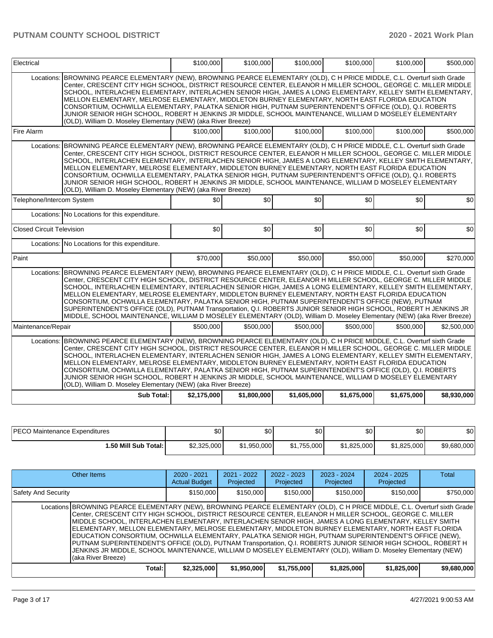| Electrical                       |                                                                                                                                                                                                                                                                                                                                                                                                                                                                                                                                                                                                                                                                                                                                                                                                         | \$100,000   | \$100,000   | \$100,000   | \$100,000   | \$100,000   | \$500,000   |
|----------------------------------|---------------------------------------------------------------------------------------------------------------------------------------------------------------------------------------------------------------------------------------------------------------------------------------------------------------------------------------------------------------------------------------------------------------------------------------------------------------------------------------------------------------------------------------------------------------------------------------------------------------------------------------------------------------------------------------------------------------------------------------------------------------------------------------------------------|-------------|-------------|-------------|-------------|-------------|-------------|
| Locations:                       | BROWNING PEARCE ELEMENTARY (NEW), BROWNING PEARCE ELEMENTARY (OLD), C H PRICE MIDDLE, C.L. Overturf sixth Grade<br>Center, CRESCENT CITY HIGH SCHOOL, DISTRICT RESOURCE CENTER, ELEANOR H MILLER SCHOOL, GEORGE C. MILLER MIDDLE<br>SCHOOL, INTERLACHEN ELEMENTARY, INTERLACHEN SENIOR HIGH, JAMES A LONG ELEMENTARY, KELLEY SMITH ELEMENTARY,<br>MELLON ELEMENTARY, MELROSE ELEMENTARY, MIDDLETON BURNEY ELEMENTARY, NORTH EAST FLORIDA EDUCATION<br>CONSORTIUM, OCHWILLA ELEMENTARY, PALATKA SENIOR HIGH, PUTNAM SUPERINTENDENT'S OFFICE (OLD), Q.I. ROBERTS<br>JUNIOR SENIOR HIGH SCHOOL, ROBERT H JENKINS JR MIDDLE, SCHOOL MAINTENANCE, WILLIAM D MOSELEY ELEMENTARY<br>(OLD), William D. Moseley Elementary (NEW) (aka River Breeze)                                                              |             |             |             |             |             |             |
| Fire Alarm                       |                                                                                                                                                                                                                                                                                                                                                                                                                                                                                                                                                                                                                                                                                                                                                                                                         | \$100,000   | \$100,000   | \$100,000   | \$100,000   | \$100,000   | \$500,000   |
| Locations:                       | BROWNING PEARCE ELEMENTARY (NEW), BROWNING PEARCE ELEMENTARY (OLD), C H PRICE MIDDLE, C.L. Overturf sixth Grade<br>Center, CRESCENT CITY HIGH SCHOOL, DISTRICT RESOURCE CENTER, ELEANOR H MILLER SCHOOL, GEORGE C. MILLER MIDDLE<br>SCHOOL, INTERLACHEN ELEMENTARY, INTERLACHEN SENIOR HIGH, JAMES A LONG ELEMENTARY, KELLEY SMITH ELEMENTARY,<br>MELLON ELEMENTARY, MELROSE ELEMENTARY, MIDDLETON BURNEY ELEMENTARY, NORTH EAST FLORIDA EDUCATION<br>CONSORTIUM, OCHWILLA ELEMENTARY, PALATKA SENIOR HIGH, PUTNAM SUPERINTENDENT'S OFFICE (OLD), Q.I. ROBERTS<br>JUNIOR SENIOR HIGH SCHOOL, ROBERT H JENKINS JR MIDDLE, SCHOOL MAINTENANCE, WILLIAM D MOSELEY ELEMENTARY<br>(OLD), William D. Moseley Elementary (NEW) (aka River Breeze)                                                              |             |             |             |             |             |             |
| Telephone/Intercom System        |                                                                                                                                                                                                                                                                                                                                                                                                                                                                                                                                                                                                                                                                                                                                                                                                         | \$0         | \$0         | \$0         | \$0         | \$0         | \$0         |
|                                  | Locations: No Locations for this expenditure.                                                                                                                                                                                                                                                                                                                                                                                                                                                                                                                                                                                                                                                                                                                                                           |             |             |             |             |             |             |
| <b>Closed Circuit Television</b> |                                                                                                                                                                                                                                                                                                                                                                                                                                                                                                                                                                                                                                                                                                                                                                                                         | \$0         | \$0         | \$0         | \$0         | \$0         | \$0         |
|                                  | Locations: No Locations for this expenditure.                                                                                                                                                                                                                                                                                                                                                                                                                                                                                                                                                                                                                                                                                                                                                           |             |             |             |             |             |             |
| Paint                            |                                                                                                                                                                                                                                                                                                                                                                                                                                                                                                                                                                                                                                                                                                                                                                                                         | \$70,000    | \$50,000    | \$50,000    | \$50,000    | \$50,000    | \$270,000   |
| Locations:                       | BROWNING PEARCE ELEMENTARY (NEW), BROWNING PEARCE ELEMENTARY (OLD), C H PRICE MIDDLE, C.L. Overturf sixth Grade<br>Center, CRESCENT CITY HIGH SCHOOL, DISTRICT RESOURCE CENTER, ELEANOR H MILLER SCHOOL, GEORGE C. MILLER MIDDLE<br>SCHOOL, INTERLACHEN ELEMENTARY, INTERLACHEN SENIOR HIGH, JAMES A LONG ELEMENTARY, KELLEY SMITH ELEMENTARY,<br>MELLON ELEMENTARY, MELROSE ELEMENTARY, MIDDLETON BURNEY ELEMENTARY, NORTH EAST FLORIDA EDUCATION<br>CONSORTIUM, OCHWILLA ELEMENTARY, PALATKA SENIOR HIGH, PUTNAM SUPERINTENDENT'S OFFICE (NEW), PUTNAM<br>SUPERINTENDENT'S OFFICE (OLD), PUTNAM Transportation, Q.I. ROBERTS JUNIOR SENIOR HIGH SCHOOL, ROBERT H JENKINS JR<br>MIDDLE, SCHOOL MAINTENANCE, WILLIAM D MOSELEY ELEMENTARY (OLD), William D. Moseley Elementary (NEW) (aka River Breeze) |             |             |             |             |             |             |
| Maintenance/Repair               |                                                                                                                                                                                                                                                                                                                                                                                                                                                                                                                                                                                                                                                                                                                                                                                                         | \$500,000   | \$500,000   | \$500,000   | \$500,000   | \$500,000   | \$2,500,000 |
| Locations:                       | BROWNING PEARCE ELEMENTARY (NEW), BROWNING PEARCE ELEMENTARY (OLD), C H PRICE MIDDLE, C.L. Overturf sixth Grade<br>Center, CRESCENT CITY HIGH SCHOOL, DISTRICT RESOURCE CENTER, ELEANOR H MILLER SCHOOL, GEORGE C. MILLER MIDDLE<br>SCHOOL, INTERLACHEN ELEMENTARY, INTERLACHEN SENIOR HIGH, JAMES A LONG ELEMENTARY, KELLEY SMITH ELEMENTARY,<br>MELLON ELEMENTARY, MELROSE ELEMENTARY, MIDDLETON BURNEY ELEMENTARY, NORTH EAST FLORIDA EDUCATION<br>CONSORTIUM, OCHWILLA ELEMENTARY, PALATKA SENIOR HIGH, PUTNAM SUPERINTENDENT'S OFFICE (OLD), Q.I. ROBERTS<br>JUNIOR SENIOR HIGH SCHOOL, ROBERT H JENKINS JR MIDDLE, SCHOOL MAINTENANCE, WILLIAM D MOSELEY ELEMENTARY<br>(OLD), William D. Moseley Elementary (NEW) (aka River Breeze)                                                              |             |             |             |             |             |             |
|                                  | Sub Total:                                                                                                                                                                                                                                                                                                                                                                                                                                                                                                                                                                                                                                                                                                                                                                                              | \$2,175,000 | \$1,800,000 | \$1,605,000 | \$1,675,000 | \$1,675,000 | \$8,930,000 |

| <b>PECO</b><br>Maintenance Expenditures | \$0         | \$0         | \$0         | \$0         | ሶስ<br>ъU    | \$0         |
|-----------------------------------------|-------------|-------------|-------------|-------------|-------------|-------------|
| 1.50 Mill Sub Total: İ                  | \$2,325,000 | \$1,950,000 | \$1,755,000 | \$1,825,000 | \$1,825,000 | \$9,680,000 |

| Other Items                                                                                                                                                                                                                                                                                                                                                                                                                                                                                                                                                                                                                                                                                                                                                                                                          | $2020 - 2021$<br><b>Actual Budget</b> | $2021 - 2022$<br>Projected | $2022 - 2023$<br>Projected | $2023 - 2024$<br>Projected | $2024 - 2025$<br>Projected | Total       |
|----------------------------------------------------------------------------------------------------------------------------------------------------------------------------------------------------------------------------------------------------------------------------------------------------------------------------------------------------------------------------------------------------------------------------------------------------------------------------------------------------------------------------------------------------------------------------------------------------------------------------------------------------------------------------------------------------------------------------------------------------------------------------------------------------------------------|---------------------------------------|----------------------------|----------------------------|----------------------------|----------------------------|-------------|
| <b>Safety And Security</b>                                                                                                                                                                                                                                                                                                                                                                                                                                                                                                                                                                                                                                                                                                                                                                                           | \$150,000                             | \$150,000                  | \$150,000                  | \$150,000                  | \$150,000                  | \$750,000   |
| Locations BROWNING PEARCE ELEMENTARY (NEW), BROWNING PEARCE ELEMENTARY (OLD), C H PRICE MIDDLE, C.L. Overturf sixth Grade<br>Center, CRESCENT CITY HIGH SCHOOL, DISTRICT RESOURCE CENTER, ELEANOR H MILLER SCHOOL, GEORGE C. MILLER<br>MIDDLE SCHOOL, INTERLACHEN ELEMENTARY, INTERLACHEN SENIOR HIGH, JAMES A LONG ELEMENTARY, KELLEY SMITH<br>ELEMENTARY, MELLON ELEMENTARY, MELROSE ELEMENTARY, MIDDLETON BURNEY ELEMENTARY, NORTH EAST FLORIDA<br>EDUCATION CONSORTIUM, OCHWILLA ELEMENTARY, PALATKA SENIOR HIGH, PUTNAM SUPERINTENDENT'S OFFICE (NEW),<br>PUTNAM SUPERINTENDENT'S OFFICE (OLD), PUTNAM Transportation, Q.I. ROBERTS JUNIOR SENIOR HIGH SCHOOL, ROBERT H<br>JENKINS JR MIDDLE, SCHOOL MAINTENANCE, WILLIAM D MOSELEY ELEMENTARY (OLD), William D. Moseley Elementary (NEW)<br>(aka River Breeze) |                                       |                            |                            |                            |                            |             |
| Total:                                                                                                                                                                                                                                                                                                                                                                                                                                                                                                                                                                                                                                                                                                                                                                                                               | \$2,325,000                           | \$1,950,000                | \$1,755,000                | \$1,825,000                | \$1,825,000                | \$9,680,000 |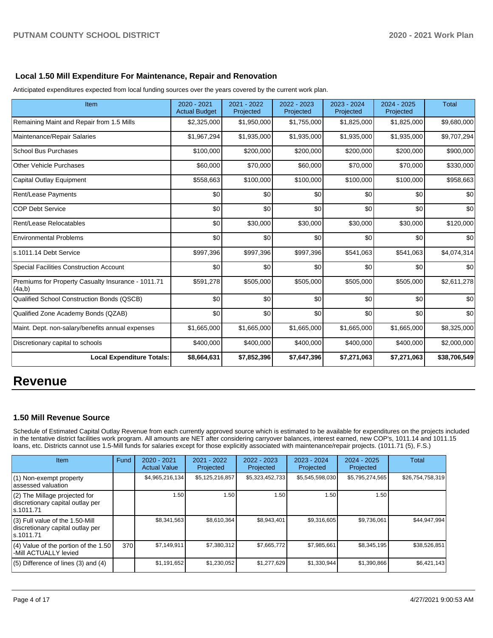# **Local 1.50 Mill Expenditure For Maintenance, Repair and Renovation**

Anticipated expenditures expected from local funding sources over the years covered by the current work plan.

| Item                                                         | 2020 - 2021<br><b>Actual Budget</b> | 2021 - 2022<br>Projected | 2022 - 2023<br>Projected | 2023 - 2024<br>Projected | $2024 - 2025$<br>Projected | <b>Total</b> |
|--------------------------------------------------------------|-------------------------------------|--------------------------|--------------------------|--------------------------|----------------------------|--------------|
| Remaining Maint and Repair from 1.5 Mills                    | \$2,325,000                         | \$1,950,000              | \$1,755,000              | \$1,825,000              | \$1,825,000                | \$9,680,000  |
| Maintenance/Repair Salaries                                  | \$1,967,294                         | \$1,935,000              | \$1,935,000              | \$1,935,000              | \$1,935,000                | \$9,707,294  |
| <b>School Bus Purchases</b>                                  | \$100,000                           | \$200,000                | \$200,000                | \$200,000                | \$200,000                  | \$900,000    |
| <b>Other Vehicle Purchases</b>                               | \$60,000                            | \$70,000                 | \$60,000                 | \$70,000                 | \$70,000                   | \$330,000    |
| <b>Capital Outlay Equipment</b>                              | \$558,663                           | \$100,000                | \$100,000                | \$100,000                | \$100,000                  | \$958,663    |
| <b>Rent/Lease Payments</b>                                   | \$0                                 | \$0                      | \$0                      | \$0                      | \$0                        | \$0          |
| <b>COP Debt Service</b>                                      | \$0                                 | \$0                      | \$0                      | \$0                      | \$0                        | \$0          |
| Rent/Lease Relocatables                                      | \$0                                 | \$30,000                 | \$30,000                 | \$30,000                 | \$30,000                   | \$120,000    |
| <b>Environmental Problems</b>                                | \$0                                 | \$0                      | \$0                      | \$0                      | \$0                        | \$0          |
| s.1011.14 Debt Service                                       | \$997,396                           | \$997,396                | \$997,396                | \$541,063                | \$541,063                  | \$4,074,314  |
| <b>Special Facilities Construction Account</b>               | \$0                                 | \$0                      | \$0                      | \$0                      | \$0                        | \$0          |
| Premiums for Property Casualty Insurance - 1011.71<br>(4a,b) | \$591,278                           | \$505,000                | \$505,000                | \$505,000                | \$505,000                  | \$2,611,278  |
| Qualified School Construction Bonds (QSCB)                   | \$0                                 | \$0                      | \$0                      | \$0                      | \$0                        | \$0          |
| Qualified Zone Academy Bonds (QZAB)                          | \$0                                 | \$0                      | \$0                      | \$0                      | \$0                        | \$0          |
| Maint. Dept. non-salary/benefits annual expenses             | \$1,665,000                         | \$1,665,000              | \$1,665,000              | \$1,665,000              | \$1,665,000                | \$8,325,000  |
| Discretionary capital to schools                             | \$400,000                           | \$400,000                | \$400,000                | \$400,000                | \$400,000                  | \$2,000,000  |
| <b>Local Expenditure Totals:</b>                             | \$8,664,631                         | \$7,852,396              | \$7,647,396              | \$7,271,063              | \$7,271,063                | \$38,706,549 |

# **Revenue**

### **1.50 Mill Revenue Source**

Schedule of Estimated Capital Outlay Revenue from each currently approved source which is estimated to be available for expenditures on the projects included in the tentative district facilities work program. All amounts are NET after considering carryover balances, interest earned, new COP's, 1011.14 and 1011.15 loans, etc. Districts cannot use 1.5-Mill funds for salaries except for those explicitly associated with maintenance/repair projects. (1011.71 (5), F.S.)

| <b>Item</b>                                                                       | Fund         | $2020 - 2021$<br><b>Actual Value</b> | 2021 - 2022<br>Projected | $2022 - 2023$<br>Projected | $2023 - 2024$<br>Projected | $2024 - 2025$<br>Projected | Total            |
|-----------------------------------------------------------------------------------|--------------|--------------------------------------|--------------------------|----------------------------|----------------------------|----------------------------|------------------|
| $(1)$ Non-exempt property<br>lassessed valuation                                  |              | \$4,965,216,134                      | \$5,125,216,857          | \$5,323,452,733            | \$5,545,598,030            | \$5,795,274,565            | \$26,754,758,319 |
| $(2)$ The Millage projected for<br>discretionary capital outlay per<br>ls.1011.71 |              | 1.50                                 | 1.50                     | 1.50                       | 1.50                       | 1.50                       |                  |
| (3) Full value of the 1.50-Mill<br>discretionary capital outlay per<br>ls.1011.71 |              | \$8,341,563                          | \$8,610,364              | \$8,943,401                | \$9,316,605                | \$9,736,061                | \$44,947,994     |
| $(4)$ Value of the portion of the 1.50<br>-Mill ACTUALLY levied                   | 370 <b>I</b> | \$7,149,911                          | \$7,380,312              | \$7,665,772                | \$7,985,661                | \$8,345,195                | \$38,526,851     |
| $(5)$ Difference of lines $(3)$ and $(4)$                                         |              | \$1,191,652                          | \$1,230,052              | \$1,277,629                | \$1,330,944                | \$1,390,866                | \$6,421,143      |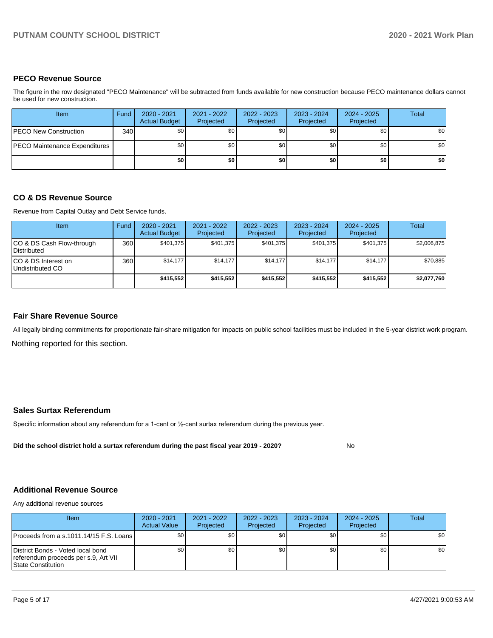# **PECO Revenue Source**

The figure in the row designated "PECO Maintenance" will be subtracted from funds available for new construction because PECO maintenance dollars cannot be used for new construction.

| Item                          | Fund         | 2020 - 2021<br><b>Actual Budget</b> | 2021 - 2022<br>Projected | 2022 - 2023<br>Projected | 2023 - 2024<br>Projected | 2024 - 2025<br>Projected | <b>Total</b> |
|-------------------------------|--------------|-------------------------------------|--------------------------|--------------------------|--------------------------|--------------------------|--------------|
| <b>PECO New Construction</b>  | 340 <b>I</b> | \$0                                 | \$0                      | \$0                      | \$0                      | \$0                      | \$0          |
| PECO Maintenance Expenditures |              | ا 30                                | \$0                      | \$0                      | \$0                      | \$0                      | \$0          |
|                               |              | \$0                                 | \$0                      | \$0                      | \$0                      | \$0                      | \$0          |

# **CO & DS Revenue Source**

Revenue from Capital Outlay and Debt Service funds.

| Item                                      | Fund | 2020 - 2021<br><b>Actual Budget</b> | 2021 - 2022<br>Projected | 2022 - 2023<br>Projected | $2023 - 2024$<br>Projected | 2024 - 2025<br>Projected | Total       |
|-------------------------------------------|------|-------------------------------------|--------------------------|--------------------------|----------------------------|--------------------------|-------------|
| ICO & DS Cash Flow-through<br>Distributed | 360  | \$401.375                           | \$401.375                | \$401.375                | \$401.375                  | \$401.375                | \$2,006,875 |
| ICO & DS Interest on<br>Undistributed CO  | 360  | \$14.177                            | \$14,177                 | \$14.177                 | \$14,177                   | \$14,177                 | \$70,885    |
|                                           |      | \$415,552                           | \$415.552                | \$415.552                | \$415.552                  | \$415.552                | \$2,077,760 |

# **Fair Share Revenue Source**

Nothing reported for this section. All legally binding commitments for proportionate fair-share mitigation for impacts on public school facilities must be included in the 5-year district work program.

### **Sales Surtax Referendum**

Specific information about any referendum for a 1-cent or ½-cent surtax referendum during the previous year.

**Did the school district hold a surtax referendum during the past fiscal year 2019 - 2020?**

No

### **Additional Revenue Source**

Any additional revenue sources

| <b>Item</b>                                                                                     | 2020 - 2021<br><b>Actual Value</b> | 2021 - 2022<br>Projected | 2022 - 2023<br>Projected | 2023 - 2024<br>Projected | $2024 - 2025$<br>Projected | Total |
|-------------------------------------------------------------------------------------------------|------------------------------------|--------------------------|--------------------------|--------------------------|----------------------------|-------|
| Proceeds from a s.1011.14/15 F.S. Loans                                                         | \$0 <sub>1</sub>                   | \$0                      | \$0                      | \$0                      | \$0                        | \$0   |
| District Bonds - Voted local bond<br>referendum proceeds per s.9, Art VII<br>State Constitution | SO I                               | \$0                      | \$0                      | \$0 <sub>1</sub>         | \$0                        | \$0   |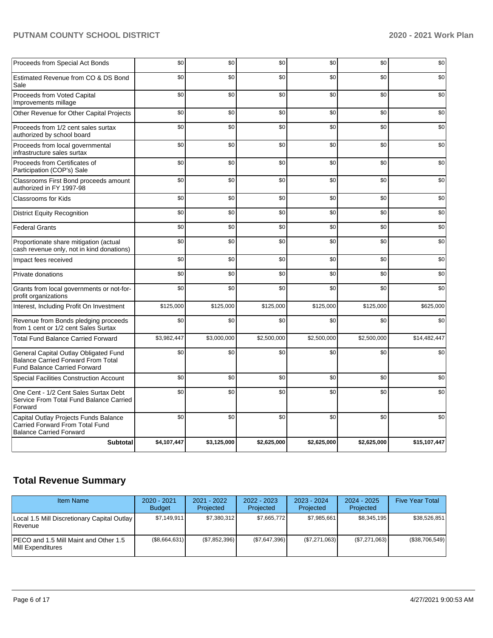| Proceeds from Special Act Bonds                                                                                           | \$0         | \$0         | \$0         | \$0         | \$0         | \$0          |
|---------------------------------------------------------------------------------------------------------------------------|-------------|-------------|-------------|-------------|-------------|--------------|
| Estimated Revenue from CO & DS Bond<br>Sale                                                                               | \$0         | \$0         | \$0         | \$0         | \$0         | \$0          |
| Proceeds from Voted Capital<br>Improvements millage                                                                       | \$0         | \$0         | \$0         | \$0         | \$0         | \$0          |
| Other Revenue for Other Capital Projects                                                                                  | \$0         | \$0         | \$0         | \$0         | \$0         | \$0          |
| Proceeds from 1/2 cent sales surtax<br>authorized by school board                                                         | \$0         | \$0         | \$0         | \$0         | \$0         | \$0          |
| Proceeds from local governmental<br>infrastructure sales surtax                                                           | \$0         | \$0         | \$0         | \$0         | \$0         | \$0          |
| Proceeds from Certificates of<br>Participation (COP's) Sale                                                               | \$0         | \$0         | \$0         | \$0         | \$0         | \$0          |
| Classrooms First Bond proceeds amount<br>authorized in FY 1997-98                                                         | \$0         | \$0         | \$0         | \$0         | \$0         | \$0          |
| Classrooms for Kids                                                                                                       | \$0         | \$0         | \$0         | \$0         | \$0         | \$0          |
| <b>District Equity Recognition</b>                                                                                        | \$0         | \$0         | \$0         | \$0         | \$0         | \$0          |
| <b>Federal Grants</b>                                                                                                     | \$0         | \$0         | \$0         | \$0         | \$0         | \$0          |
| Proportionate share mitigation (actual<br>cash revenue only, not in kind donations)                                       | \$0         | \$0         | \$0         | \$0         | \$0         | \$0          |
| Impact fees received                                                                                                      | \$0         | \$0         | \$0         | \$0         | \$0         | \$0          |
| Private donations                                                                                                         | \$0         | \$0         | \$0         | \$0         | \$0         | \$0          |
| Grants from local governments or not-for-<br>profit organizations                                                         | \$0         | \$0         | \$0         | \$0         | \$0         | \$0          |
| Interest, Including Profit On Investment                                                                                  | \$125,000   | \$125,000   | \$125,000   | \$125,000   | \$125,000   | \$625,000    |
| Revenue from Bonds pledging proceeds<br>from 1 cent or 1/2 cent Sales Surtax                                              | \$0         | \$0         | \$0         | \$0         | \$0         | \$0          |
| <b>Total Fund Balance Carried Forward</b>                                                                                 | \$3,982,447 | \$3,000,000 | \$2,500,000 | \$2,500,000 | \$2,500,000 | \$14,482,447 |
| General Capital Outlay Obligated Fund<br><b>Balance Carried Forward From Total</b><br><b>Fund Balance Carried Forward</b> | \$0         | \$0         | \$0         | \$0         | \$0         | \$0          |
| <b>Special Facilities Construction Account</b>                                                                            | \$0         | \$0         | \$0         | \$0         | \$0         | \$0          |
| One Cent - 1/2 Cent Sales Surtax Debt<br>Service From Total Fund Balance Carried<br>Forward                               | \$0         | \$0         | \$0         | \$0         | \$0         | \$0          |
| Capital Outlay Projects Funds Balance<br>Carried Forward From Total Fund<br><b>Balance Carried Forward</b>                | \$0         | \$0         | \$0         | \$0         | \$0         | \$0          |
| <b>Subtotal</b>                                                                                                           | \$4,107,447 | \$3,125,000 | \$2,625,000 | \$2,625,000 | \$2,625,000 | \$15,107,447 |

# **Total Revenue Summary**

| <b>Item Name</b>                                                | 2020 - 2021<br><b>Budget</b> | 2021 - 2022<br>Projected | 2022 - 2023<br>Projected | $2023 - 2024$<br>Projected | $2024 - 2025$<br>Projected | <b>Five Year Total</b> |
|-----------------------------------------------------------------|------------------------------|--------------------------|--------------------------|----------------------------|----------------------------|------------------------|
| Local 1.5 Mill Discretionary Capital Outlay  <br><b>Revenue</b> | \$7.149.911                  | \$7,380,312              | \$7.665.772              | \$7.985.661                | \$8,345,195                | \$38,526,851           |
| IPECO and 1.5 Mill Maint and Other 1.5<br>Mill Expenditures     | (\$8,664,631)                | (\$7,852,396)            | (\$7,647,396)            | (S7.271.063)               | (\$7,271,063)              | (S38,706,549)          |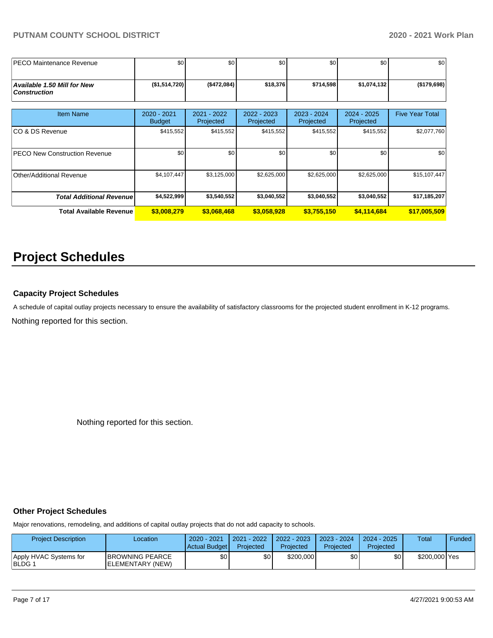| <b>IPECO Maintenance Revenue</b>                   | \$0                          | \$0                      | \$0                      | \$0                      | \$0                        | \$0                    |
|----------------------------------------------------|------------------------------|--------------------------|--------------------------|--------------------------|----------------------------|------------------------|
| Available 1.50 Mill for New<br><b>Construction</b> | (\$1,514,720)                | (\$472,084)              | \$18,376                 | \$714,598                | \$1,074,132                | (\$179,698)            |
| <b>Item Name</b>                                   | 2020 - 2021<br><b>Budget</b> | 2021 - 2022<br>Projected | 2022 - 2023<br>Projected | 2023 - 2024<br>Projected | $2024 - 2025$<br>Projected | <b>Five Year Total</b> |
| ICO & DS Revenue                                   | \$415,552                    | \$415,552                | \$415,552                | \$415,552                | \$415,552                  | \$2,077,760            |
| <b>PECO New Construction Revenue</b>               | \$0                          | \$0                      | \$0                      | \$0                      | \$0                        | \$0                    |
| Other/Additional Revenue                           | \$4,107,447                  | \$3,125,000              | \$2,625,000              | \$2,625,000              | \$2,625,000                | \$15,107,447           |
| <b>Total Additional Revenue</b>                    | \$4,522,999                  | \$3,540,552              | \$3,040,552              | \$3,040,552              | \$3,040,552                | \$17,185,207           |
| <b>Total Available Revenue</b>                     | \$3,008,279                  | \$3,068,468              | \$3,058,928              | \$3,755,150              | \$4,114,684                | \$17,005,509           |

# **Project Schedules**

### **Capacity Project Schedules**

A schedule of capital outlay projects necessary to ensure the availability of satisfactory classrooms for the projected student enrollment in K-12 programs.

Nothing reported for this section.

Nothing reported for this section.

### **Other Project Schedules**

Major renovations, remodeling, and additions of capital outlay projects that do not add capacity to schools.

| <b>Project Description</b>       | Location                                    | $2020 - 2021$<br>Actual Budget | 2021 - 2022<br>Projected | 2022 - 2023<br>Projected | $2023 - 2024$<br>Projected | $2024 - 2025$<br>Projected | Total         | Funded |
|----------------------------------|---------------------------------------------|--------------------------------|--------------------------|--------------------------|----------------------------|----------------------------|---------------|--------|
| Apply HVAC Systems for<br>BLDG 1 | <b>IBROWNING PEARCE</b><br>ELEMENTARY (NEW) | \$0                            | \$0 I                    | \$200,000                | \$0                        | \$0                        | \$200,000 Yes |        |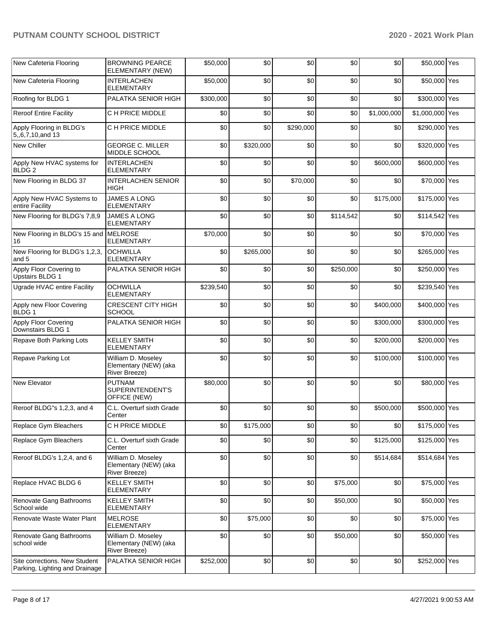| New Cafeteria Flooring                                          | <b>BROWNING PEARCE</b><br>ELEMENTARY (NEW)                   | \$50,000  | \$0       | \$0       | \$0       | \$0         | \$50,000 Yes    |  |
|-----------------------------------------------------------------|--------------------------------------------------------------|-----------|-----------|-----------|-----------|-------------|-----------------|--|
| New Cafeteria Flooring                                          | <b>INTERLACHEN</b><br><b>ELEMENTARY</b>                      | \$50,000  | \$0       | \$0       | \$0       | \$0         | \$50,000 Yes    |  |
| Roofing for BLDG 1                                              | PALATKA SENIOR HIGH                                          | \$300,000 | \$0       | \$0       | \$0       | \$0         | \$300,000 Yes   |  |
| <b>Reroof Entire Facility</b>                                   | C H PRICE MIDDLE                                             | \$0       | \$0       | \$0       | \$0       | \$1,000,000 | \$1,000,000 Yes |  |
| Apply Flooring in BLDG's<br>5,,6,7,10,and 13                    | C H PRICE MIDDLE                                             | \$0       | \$0       | \$290,000 | \$0       | \$0         | \$290,000 Yes   |  |
| New Chiller                                                     | <b>GEORGE C. MILLER</b><br><b>MIDDLE SCHOOL</b>              | \$0       | \$320,000 | \$0       | \$0       | \$0         | \$320,000 Yes   |  |
| Apply New HVAC systems for<br>BLDG <sub>2</sub>                 | <b>INTERLACHEN</b><br><b>ELEMENTARY</b>                      | \$0       | \$0       | \$0       | \$0       | \$600,000   | \$600,000 Yes   |  |
| New Flooring in BLDG 37                                         | <b>INTERLACHEN SENIOR</b><br>HIGH                            | \$0       | \$0       | \$70,000  | \$0       | \$0         | \$70,000 Yes    |  |
| Apply New HVAC Systems to<br>entire Facility                    | <b>JAMES A LONG</b><br>ELEMENTARY                            | \$0       | \$0       | \$0       | \$0       | \$175,000   | \$175,000 Yes   |  |
| New Flooring for BLDG's 7,8,9                                   | <b>JAMES A LONG</b><br><b>ELEMENTARY</b>                     | \$0       | \$0       | \$0       | \$114,542 | \$0         | \$114,542 Yes   |  |
| New Flooring in BLDG's 15 and MELROSE<br>16                     | <b>ELEMENTARY</b>                                            | \$70,000  | \$0       | \$0       | \$0       | \$0         | \$70,000 Yes    |  |
| New Flooring for BLDG's 1,2,3,<br>and 5                         | <b>OCHWILLA</b><br><b>ELEMENTARY</b>                         | \$0       | \$265,000 | \$0       | \$0       | \$0         | \$265,000 Yes   |  |
| Apply Floor Covering to<br><b>Upstairs BLDG 1</b>               | PALATKA SENIOR HIGH                                          | \$0       | \$0       | \$0       | \$250,000 | \$0         | \$250,000 Yes   |  |
| Ugrade HVAC entire Facility                                     | <b>OCHWILLA</b><br><b>ELEMENTARY</b>                         | \$239,540 | \$0       | \$0       | \$0       | \$0         | \$239,540 Yes   |  |
| Apply new Floor Covering<br>BLDG 1                              | <b>CRESCENT CITY HIGH</b><br><b>SCHOOL</b>                   | \$0       | \$0       | \$0       | \$0       | \$400,000   | \$400,000 Yes   |  |
| Apply Floor Covering<br>Downstairs BLDG 1                       | PALATKA SENIOR HIGH                                          | \$0       | \$0       | \$0       | \$0       | \$300,000   | \$300,000 Yes   |  |
| Repave Both Parking Lots                                        | <b>KELLEY SMITH</b><br><b>ELEMENTARY</b>                     | \$0       | \$0       | \$0       | \$0       | \$200,000   | \$200,000 Yes   |  |
| Repave Parking Lot                                              | William D. Moseley<br>Elementary (NEW) (aka<br>River Breeze) | \$0       | \$0       | \$0       | \$0       | \$100,000   | \$100,000 Yes   |  |
| <b>New Elevator</b>                                             | <b>PUTNAM</b><br>SUPERINTENDENT'S<br>OFFICE (NEW)            | \$80,000  | \$0       | \$0       | \$0       | \$0         | \$80,000 Yes    |  |
| Reroof BLDG"s 1,2,3, and 4                                      | C.L. Overturf sixth Grade<br>Center                          | \$0       | \$0       | \$0       | \$0       | \$500,000   | \$500,000 Yes   |  |
| Replace Gym Bleachers                                           | C H PRICE MIDDLE                                             | \$0       | \$175,000 | \$0       | \$0       | \$0         | \$175,000 Yes   |  |
| Replace Gym Bleachers                                           | C.L. Overturf sixth Grade<br>Center                          | \$0       | \$0       | \$0       | \$0       | \$125,000   | \$125,000 Yes   |  |
| Reroof BLDG's 1,2,4, and 6                                      | William D. Moseley<br>Elementary (NEW) (aka<br>River Breeze) | \$0       | \$0       | \$0       | \$0       | \$514,684   | \$514,684 Yes   |  |
| Replace HVAC BLDG 6                                             | <b>KELLEY SMITH</b><br>ELEMENTARY                            | \$0       | \$0       | \$0       | \$75,000  | \$0         | \$75,000 Yes    |  |
| Renovate Gang Bathrooms<br>School wide                          | <b>KELLEY SMITH</b><br>ELEMENTARY                            | \$0       | \$0       | \$0       | \$50,000  | \$0         | \$50,000 Yes    |  |
| Renovate Waste Water Plant                                      | <b>MELROSE</b><br>ELEMENTARY                                 | \$0       | \$75,000  | \$0       | \$0       | \$0         | \$75,000 Yes    |  |
| Renovate Gang Bathrooms<br>school wide                          | William D. Moseley<br>Elementary (NEW) (aka<br>River Breeze) | \$0       | \$0       | \$0       | \$50,000  | \$0         | \$50,000 Yes    |  |
| Site corrections. New Student<br>Parking, Lighting and Drainage | PALATKA SENIOR HIGH                                          | \$252,000 | \$0       | \$0       | \$0       | \$0         | \$252,000 Yes   |  |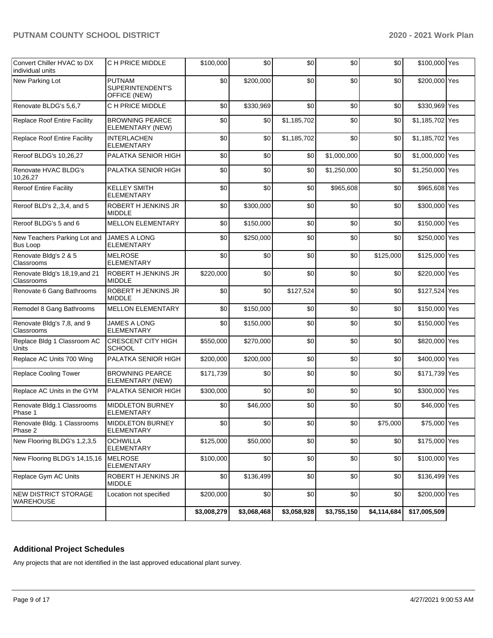| Convert Chiller HVAC to DX<br>individual units  | C H PRICE MIDDLE                                  | \$100,000   | \$0         | \$0         | \$0         | \$0         | \$100,000 Yes   |  |
|-------------------------------------------------|---------------------------------------------------|-------------|-------------|-------------|-------------|-------------|-----------------|--|
| New Parking Lot                                 | <b>PUTNAM</b><br>SUPERINTENDENT'S<br>OFFICE (NEW) | \$0         | \$200,000   | \$0         | \$0         | \$0         | \$200,000 Yes   |  |
| Renovate BLDG's 5,6,7                           | C H PRICE MIDDLE                                  | \$0         | \$330,969   | \$0         | \$0         | \$0         | \$330,969 Yes   |  |
| <b>Replace Roof Entire Facility</b>             | <b>BROWNING PEARCE</b><br>ELEMENTARY (NEW)        | \$0         | \$0         | \$1,185,702 | \$0         | \$0         | \$1,185,702 Yes |  |
| <b>Replace Roof Entire Facility</b>             | <b>INTERLACHEN</b><br><b>ELEMENTARY</b>           | \$0         | \$0         | \$1,185,702 | \$0         | \$0         | \$1,185,702 Yes |  |
| Reroof BLDG's 10,26,27                          | PALATKA SENIOR HIGH                               | \$0         | \$0         | \$0         | \$1,000,000 | \$0         | \$1,000,000 Yes |  |
| Renovate HVAC BLDG's<br>10,26,27                | PALATKA SENIOR HIGH                               | \$0         | \$0         | \$0         | \$1,250,000 | \$0         | \$1,250,000 Yes |  |
| <b>Reroof Entire Facility</b>                   | <b>KELLEY SMITH</b><br><b>ELEMENTARY</b>          | \$0         | \$0         | \$0         | \$965,608   | \$0         | \$965,608 Yes   |  |
| Reroof BLD's 2,,3,4, and 5                      | ROBERT H JENKINS JR<br><b>MIDDLE</b>              | \$0         | \$300,000   | \$0         | \$0         | \$0         | \$300,000 Yes   |  |
| Reroof BLDG's 5 and 6                           | <b>MELLON ELEMENTARY</b>                          | \$0         | \$150,000   | \$0         | \$0         | \$0         | \$150,000 Yes   |  |
| New Teachers Parking Lot and<br><b>Bus Loop</b> | <b>JAMES A LONG</b><br>ELEMENTARY                 | \$0         | \$250,000   | \$0         | \$0         | \$0         | \$250,000 Yes   |  |
| Renovate Bldg's 2 & 5<br>Classrooms             | <b>MELROSE</b><br><b>ELEMENTARY</b>               | \$0         | \$0         | \$0         | \$0         | \$125,000   | \$125,000 Yes   |  |
| Renovate Bldg's 18,19, and 21<br>Classrooms     | ROBERT H JENKINS JR<br><b>MIDDLE</b>              | \$220,000   | \$0         | \$0         | \$0         | \$0         | \$220,000 Yes   |  |
| Renovate 6 Gang Bathrooms                       | ROBERT H JENKINS JR<br><b>MIDDLE</b>              | \$0         | \$0         | \$127,524   | \$0         | \$0         | \$127,524 Yes   |  |
| Remodel 8 Gang Bathrooms                        | <b>MELLON ELEMENTARY</b>                          | \$0         | \$150,000   | \$0         | \$0         | \$0         | \$150,000 Yes   |  |
| Renovate Bldg's 7,8, and 9<br>Classrooms        | <b>JAMES A LONG</b><br><b>ELEMENTARY</b>          | \$0         | \$150,000   | \$0         | \$0         | \$0         | \$150,000 Yes   |  |
| Replace Bldg 1 Classroom AC<br>Units            | <b>CRESCENT CITY HIGH</b><br><b>SCHOOL</b>        | \$550,000   | \$270,000   | \$0         | \$0         | \$0         | \$820,000 Yes   |  |
| Replace AC Units 700 Wing                       | PALATKA SENIOR HIGH                               | \$200,000   | \$200,000   | \$0         | \$0         | \$0         | \$400,000 Yes   |  |
| <b>Replace Cooling Tower</b>                    | <b>BROWNING PEARCE</b><br>ELEMENTARY (NEW)        | \$171,739   | \$0         | \$0         | \$0         | \$0         | \$171,739 Yes   |  |
| Replace AC Units in the GYM                     | PALATKA SENIOR HIGH                               | \$300,000   | \$0         | \$0         | \$0         | \$0         | \$300,000 Yes   |  |
| Renovate Bldg.1 Classrooms<br>Phase 1           | MIDDLETON BURNEY<br>ELEMENTARY                    | \$0         | \$46,000    | \$0         | \$0         | \$0         | \$46,000 Yes    |  |
| Renovate Bldg. 1 Classrooms<br>Phase 2          | <b>MIDDLETON BURNEY</b><br>ELEMENTARY             | \$0         | \$0         | \$0         | \$0         | \$75,000    | \$75,000 Yes    |  |
| New Flooring BLDG's 1,2,3,5                     | OCHWILLA<br>ELEMENTARY                            | \$125,000   | \$50,000    | \$0         | \$0         | \$0         | \$175,000 Yes   |  |
| New Flooring BLDG's 14,15,16                    | <b>MELROSE</b><br>ELEMENTARY                      | \$100,000   | \$0         | \$0         | \$0         | \$0         | \$100,000 Yes   |  |
| Replace Gym AC Units                            | ROBERT H JENKINS JR<br><b>MIDDLE</b>              | \$0         | \$136,499   | \$0         | \$0         | \$0         | \$136,499 Yes   |  |
| <b>NEW DISTRICT STORAGE</b><br><b>WAREHOUSE</b> | Location not specified                            | \$200,000   | \$0         | \$0         | \$0         | \$0         | \$200,000 Yes   |  |
|                                                 |                                                   | \$3,008,279 | \$3,068,468 | \$3,058,928 | \$3,755,150 | \$4,114,684 | \$17,005,509    |  |

# **Additional Project Schedules**

Any projects that are not identified in the last approved educational plant survey.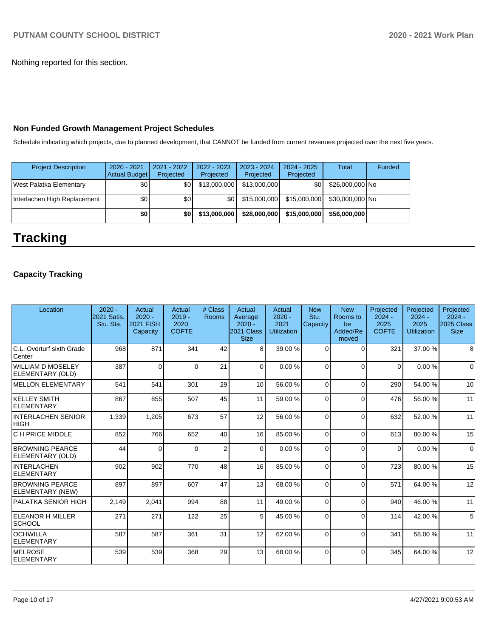Nothing reported for this section.

# **Non Funded Growth Management Project Schedules**

Schedule indicating which projects, due to planned development, that CANNOT be funded from current revenues projected over the next five years.

| <b>Project Description</b>   | $2020 - 2021$<br>Actual Budget | 2021 - 2022<br>Projected | 2022 - 2023<br>Projected | 2023 - 2024<br>Projected | $2024 - 2025$<br>Projected | <b>Total</b>    | Funded |
|------------------------------|--------------------------------|--------------------------|--------------------------|--------------------------|----------------------------|-----------------|--------|
| West Palatka Elementary      | \$0                            | \$01                     | \$13,000,000             | \$13,000,000             | \$0                        | \$26,000,000 No |        |
| Interlachen High Replacement | \$0                            | \$0 <sub>1</sub>         | \$0 I                    | \$15,000,000             | \$15,000,000               | \$30,000,000 No |        |
|                              | \$0                            | \$0                      | \$13,000,000             | \$28,000,000             | \$15,000,000               | \$56,000,000    |        |

# **Tracking**

# **Capacity Tracking**

| Location                                   | $2020 -$<br>2021 Satis.<br>Stu. Sta. | Actual<br>$2020 -$<br><b>2021 FISH</b><br>Capacity | Actual<br>$2019 -$<br>2020<br><b>COFTE</b> | # Class<br>Rooms | Actual<br>Average<br>$2020 -$<br>2021 Class<br><b>Size</b> | Actual<br>$2020 -$<br>2021<br><b>Utilization</b> | <b>New</b><br>Stu.<br>Capacity | <b>New</b><br>Rooms to<br>be<br>Added/Re<br>moved | Projected<br>$2024 -$<br>2025<br><b>COFTE</b> | Projected<br>$2024 -$<br>2025<br>Utilization | Projected<br>$2024 -$<br>2025 Class<br><b>Size</b> |
|--------------------------------------------|--------------------------------------|----------------------------------------------------|--------------------------------------------|------------------|------------------------------------------------------------|--------------------------------------------------|--------------------------------|---------------------------------------------------|-----------------------------------------------|----------------------------------------------|----------------------------------------------------|
| C.L. Overturf sixth Grade<br><b>Center</b> | 968                                  | 871                                                | 341                                        | 42               | 8                                                          | 39.00 %                                          | $\Omega$                       | $\Omega$                                          | 321                                           | 37.00 %                                      | 8                                                  |
| WILLIAM D MOSELEY<br>ELEMENTARY (OLD)      | 387                                  | $\Omega$                                           | 0                                          | 21               | $\Omega$                                                   | 0.00%                                            | 0                              | $\Omega$                                          | $\Omega$                                      | 0.00%                                        | $\Omega$                                           |
| <b>MELLON ELEMENTARY</b>                   | 541                                  | 541                                                | 301                                        | 29               | 10                                                         | 56.00 %                                          | $\Omega$                       | $\Omega$                                          | 290                                           | 54.00 %                                      | 10                                                 |
| <b>KELLEY SMITH</b><br>ELEMENTARY          | 867                                  | 855                                                | 507                                        | 45               | 11                                                         | 59.00 %                                          | 0                              | $\Omega$                                          | 476                                           | 56.00 %                                      | 11                                                 |
| <b>INTERLACHEN SENIOR</b><br> HIGH         | 1,339                                | 1,205                                              | 673                                        | 57               | 12                                                         | 56.00 %                                          | $\Omega$                       | $\Omega$                                          | 632                                           | 52.00 %                                      | 11                                                 |
| <b>C H PRICE MIDDLE</b>                    | 852                                  | 766                                                | 652                                        | 40               | 16                                                         | 85.00 %                                          | $\Omega$                       | $\Omega$                                          | 613                                           | 80.00%                                       | 15                                                 |
| <b>BROWNING PEARCE</b><br>ELEMENTARY (OLD) | 44                                   | $\Omega$                                           | $\Omega$                                   | $\overline{2}$   | $\Omega$                                                   | 0.00%                                            | $\Omega$                       | $\Omega$                                          | $\Omega$                                      | 0.00%                                        | $\Omega$                                           |
| INTERLACHEN<br><b>ELEMENTARY</b>           | 902                                  | 902                                                | 770                                        | 48               | 16                                                         | 85.00 %                                          | $\Omega$                       | $\Omega$                                          | 723                                           | 80.00 %                                      | 15                                                 |
| <b>BROWNING PEARCE</b><br>ELEMENTARY (NEW) | 897                                  | 897                                                | 607                                        | 47               | 13                                                         | 68.00 %                                          | $\Omega$                       | $\Omega$                                          | 571                                           | 64.00%                                       | 12                                                 |
| PALATKA SENIOR HIGH                        | 2,149                                | 2,041                                              | 994                                        | 88               | 11                                                         | 49.00 %                                          | $\Omega$                       | $\Omega$                                          | 940                                           | 46.00 %                                      | 11                                                 |
| <b>ELEANOR H MILLER</b><br><b>SCHOOL</b>   | 271                                  | 271                                                | 122                                        | 25               | 5 <sup>1</sup>                                             | 45.00 %                                          | $\Omega$                       | $\Omega$                                          | 114                                           | 42.00 %                                      | 5 <sup>1</sup>                                     |
| <b>OCHWILLA</b><br><b>ELEMENTARY</b>       | 587                                  | 587                                                | 361                                        | 31               | 12                                                         | 62.00 %                                          | $\Omega$                       | $\Omega$                                          | 341                                           | 58.00 %                                      | 11                                                 |
| <b>MELROSE</b><br>ELEMENTARY               | 539                                  | 539                                                | 368                                        | 29               | 13                                                         | 68.00 %                                          | $\Omega$                       | $\Omega$                                          | 345                                           | 64.00 %                                      | 12                                                 |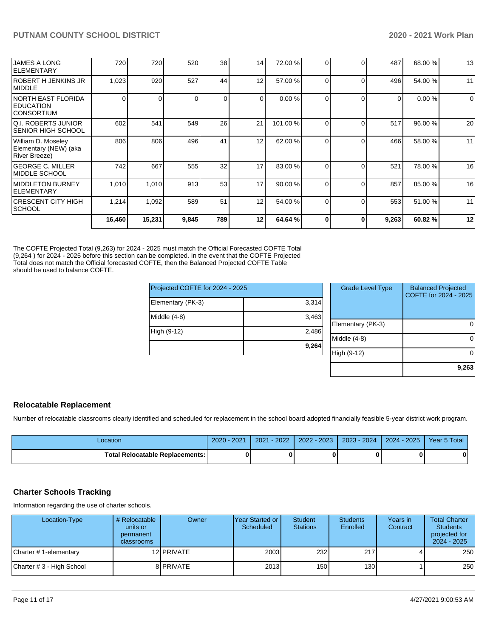| <b>JAMES A LONG</b><br>ELEMENTARY                            | 720    | 720      | 520   | 38       | 14             | 72.00 %  | 0        |          | 487      | 68.00 % | 13       |
|--------------------------------------------------------------|--------|----------|-------|----------|----------------|----------|----------|----------|----------|---------|----------|
| <b>ROBERT H JENKINS JR</b><br><b>IMIDDLE</b>                 | 1,023  | 920      | 527   | 44       | 12             | 57.00 %  | $\Omega$ | $\Omega$ | 496      | 54.00 % | 11       |
| INORTH EAST FLORIDA<br><b>IEDUCATION</b><br>ICONSORTIUM      |        | $\Omega$ |       | $\Omega$ | $\overline{0}$ | 0.00 %   | 0        | $\Omega$ | $\Omega$ | 0.00%   | $\Omega$ |
| <b>Q.I. ROBERTS JUNIOR</b><br>ISENIOR HIGH SCHOOL            | 602    | 541      | 549   | 26       | 21             | 101.00 % |          |          | 517      | 96.00 % | 20       |
| William D. Moseley<br>Elementary (NEW) (aka<br>River Breeze) | 806    | 806      | 496   | 41       | 12             | 62.00 %  |          |          | 466      | 58.00 % | 11       |
| <b>GEORGE C. MILLER</b><br>IMIDDLE SCHOOL                    | 742    | 667      | 555   | 32       | 17             | 83.00 %  | $\Omega$ |          | 521      | 78.00 % | 16       |
| <b>IMIDDLETON BURNEY</b><br><b>IELEMENTARY</b>               | 1,010  | 1,010    | 913   | 53       | 17             | 90.00 %  | 0        | ∩        | 857      | 85.00 % | 16       |
| ICRESCENT CITY HIGH<br><b>SCHOOL</b>                         | 1,214  | 1,092    | 589   | 51       | 12             | 54.00 %  | $\Omega$ | $\Omega$ | 553      | 51.00 % | 11       |
|                                                              | 16,460 | 15,231   | 9,845 | 789      | 12             | 64.64 %  | 0        |          | 9,263    | 60.82%  | 12       |

The COFTE Projected Total (9,263) for 2024 - 2025 must match the Official Forecasted COFTE Total (9,264 ) for 2024 - 2025 before this section can be completed. In the event that the COFTE Projected Total does not match the Official forecasted COFTE, then the Balanced Projected COFTE Table should be used to balance COFTE.

| Projected COFTE for 2024 - 2025 |       | <b>Grade Level Type</b> | <b>Balanced Projected</b><br>COFTE for 2024 - 2025 |
|---------------------------------|-------|-------------------------|----------------------------------------------------|
| Elementary (PK-3)               | 3,314 |                         |                                                    |
| Middle (4-8)                    | 3,463 |                         |                                                    |
|                                 |       | Elementary (PK-3)       | 0                                                  |
| High (9-12)                     | 2,486 |                         |                                                    |
|                                 |       | Middle (4-8)            | $\Omega$                                           |
|                                 | 9,264 |                         |                                                    |
|                                 |       | High (9-12)             | $\Omega$                                           |
|                                 |       |                         |                                                    |
|                                 |       |                         | 9,263                                              |

### **Relocatable Replacement**

Number of relocatable classrooms clearly identified and scheduled for replacement in the school board adopted financially feasible 5-year district work program.

| Location                               | 2020 - 2021 | $2021 - 2022$ | 2022 - 2023 | 2023 - 2024   2024 - 2025 | Year 5 Total |
|----------------------------------------|-------------|---------------|-------------|---------------------------|--------------|
| <b>Total Relocatable Replacements:</b> |             |               |             |                           | 0            |

# **Charter Schools Tracking**

Information regarding the use of charter schools.

| Location-Type             | # Relocatable<br>units or<br>permanent<br><b>classrooms</b> | Owner      | Year Started or<br>Scheduled | <b>Student</b><br><b>Stations</b> | <b>Students</b><br>Enrolled | Years in<br>Contract | <b>Total Charter</b><br><b>Students</b><br>projected for<br>$2024 - 2025$ |
|---------------------------|-------------------------------------------------------------|------------|------------------------------|-----------------------------------|-----------------------------|----------------------|---------------------------------------------------------------------------|
| Charter # 1-elementary    |                                                             | 12 PRIVATE | 2003                         | 232                               | 217                         |                      | 250                                                                       |
| Charter # 3 - High School |                                                             | 8 PRIVATE  | 2013                         | 150 l                             | 130 <sup>1</sup>            |                      | 250                                                                       |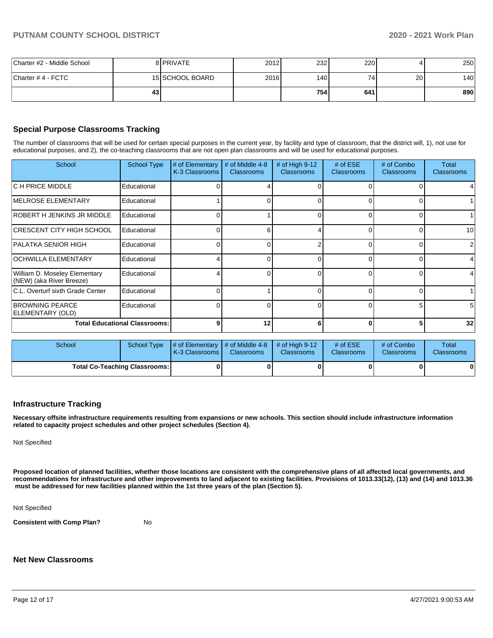| Charter #2 - Middle School |    | 8 <b>PRIVATE</b> | 2012 | 232  | 220 |    | 250 |
|----------------------------|----|------------------|------|------|-----|----|-----|
| lCharter # 4 - FCTC        |    | 15 SCHOOL BOARD  | 2016 | 140  | 74  | 20 | 140 |
|                            | 43 |                  |      | 7541 | 641 |    | 890 |

# **Special Purpose Classrooms Tracking**

The number of classrooms that will be used for certain special purposes in the current year, by facility and type of classroom, that the district will, 1), not use for educational purposes, and 2), the co-teaching classrooms that are not open plan classrooms and will be used for educational purposes.

| School                                                    | <b>School Type</b> | # of Elementary<br>K-3 Classrooms | # of Middle 4-8<br><b>Classrooms</b> | # of High $9-12$<br><b>Classrooms</b> | # of $ESE$<br><b>Classrooms</b> | # of Combo<br><b>Classrooms</b> | Total<br><b>Classrooms</b> |
|-----------------------------------------------------------|--------------------|-----------------------------------|--------------------------------------|---------------------------------------|---------------------------------|---------------------------------|----------------------------|
| IC H PRICE MIDDLE                                         | Educational        |                                   |                                      |                                       |                                 |                                 |                            |
| <b>IMELROSE ELEMENTARY</b>                                | Educational        |                                   |                                      |                                       | 0                               |                                 |                            |
| <b>IROBERT H JENKINS JR MIDDLE</b>                        | Educational        |                                   |                                      | 0                                     | 0                               |                                 |                            |
| CRESCENT CITY HIGH SCHOOL                                 | Educational        |                                   | հ                                    | Δ                                     | $\Omega$                        |                                 | 10                         |
| PALATKA SENIOR HIGH                                       | Educational        |                                   |                                      |                                       | $\Omega$                        |                                 | 2                          |
| <b>OCHWILLA ELEMENTARY</b>                                | Educational        |                                   |                                      |                                       | 0                               |                                 | 4                          |
| William D. Moseley Elementary<br>(NEW) (aka River Breeze) | Educational        |                                   |                                      |                                       |                                 |                                 | 4                          |
| C.L. Overturf sixth Grade Center                          | Educational        |                                   |                                      |                                       | <sup>0</sup>                    |                                 |                            |
| <b>BROWNING PEARCE</b><br>ELEMENTARY (OLD)                | Educational        |                                   |                                      |                                       | <sup>0</sup>                    |                                 | 5                          |
| <b>Total Educational Classrooms:</b>                      |                    | q                                 | 12                                   |                                       | $\Omega$                        |                                 | 32                         |

| <b>School</b>                        |  | School Type $\mu$ of Elementary $\mu$ of Middle 4-8 $\mu$ of High 9-12<br>K-3 Classrooms | <b>Classrooms</b> | <b>Classrooms</b> | # of $ESE$<br><b>Classrooms</b> | # of Combo<br><b>Classrooms</b> | Total<br><b>Classrooms</b> |
|--------------------------------------|--|------------------------------------------------------------------------------------------|-------------------|-------------------|---------------------------------|---------------------------------|----------------------------|
| <b>Total Co-Teaching Classrooms:</b> |  |                                                                                          |                   |                   |                                 |                                 | 01                         |

### **Infrastructure Tracking**

**Necessary offsite infrastructure requirements resulting from expansions or new schools. This section should include infrastructure information related to capacity project schedules and other project schedules (Section 4).** 

Not Specified

**Proposed location of planned facilities, whether those locations are consistent with the comprehensive plans of all affected local governments, and recommendations for infrastructure and other improvements to land adjacent to existing facilities. Provisions of 1013.33(12), (13) and (14) and 1013.36** must be addressed for new facilities planned within the 1st three years of the plan (Section 5).

Not Specified

**Consistent with Comp Plan?** No

### **Net New Classrooms**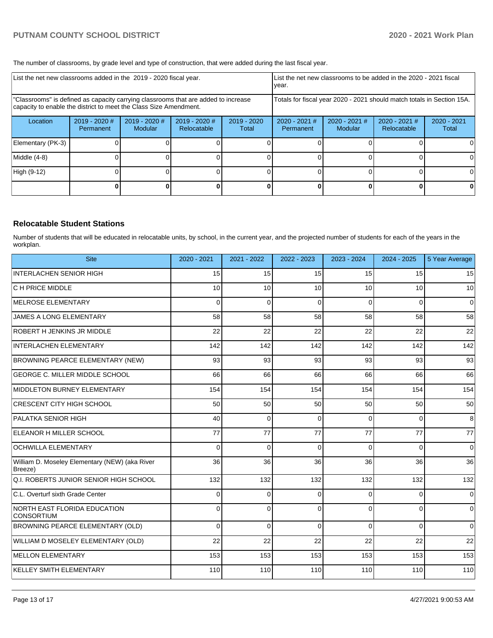The number of classrooms, by grade level and type of construction, that were added during the last fiscal year.

| List the net new classrooms added in the 2019 - 2020 fiscal year.                                                                                       |                            |                                 |                              |                                                                        | List the net new classrooms to be added in the 2020 - 2021 fiscal<br>year. |                            |                              |                        |
|---------------------------------------------------------------------------------------------------------------------------------------------------------|----------------------------|---------------------------------|------------------------------|------------------------------------------------------------------------|----------------------------------------------------------------------------|----------------------------|------------------------------|------------------------|
| 'Classrooms" is defined as capacity carrying classrooms that are added to increase<br>capacity to enable the district to meet the Class Size Amendment. |                            |                                 |                              | Totals for fiscal year 2020 - 2021 should match totals in Section 15A. |                                                                            |                            |                              |                        |
| Location                                                                                                                                                | 2019 - 2020 #<br>Permanent | 2019 - 2020 #<br><b>Modular</b> | 2019 - 2020 #<br>Relocatable | $2019 - 2020$<br>Total                                                 | $2020 - 2021$ #<br>Permanent                                               | $2020 - 2021$ #<br>Modular | 2020 - 2021 #<br>Relocatable | $2020 - 2021$<br>Total |
| Elementary (PK-3)                                                                                                                                       |                            |                                 |                              |                                                                        |                                                                            |                            |                              | 0                      |
| Middle (4-8)                                                                                                                                            |                            |                                 |                              |                                                                        |                                                                            |                            |                              | 0                      |
| High (9-12)                                                                                                                                             |                            |                                 |                              |                                                                        |                                                                            |                            |                              | $\Omega$               |
|                                                                                                                                                         |                            |                                 |                              |                                                                        |                                                                            |                            |                              | 0                      |

### **Relocatable Student Stations**

Number of students that will be educated in relocatable units, by school, in the current year, and the projected number of students for each of the years in the workplan.

| <b>Site</b>                                               | 2020 - 2021 | 2021 - 2022 | 2022 - 2023 | 2023 - 2024 | 2024 - 2025 | 5 Year Average |
|-----------------------------------------------------------|-------------|-------------|-------------|-------------|-------------|----------------|
| <b>INTERLACHEN SENIOR HIGH</b>                            | 15          | 15          | 15          | 15          | 15          | 15             |
| C H PRICE MIDDLE                                          | 10          | 10          | 10          | 10          | 10          | 10             |
| MELROSE ELEMENTARY                                        | $\Omega$    | $\Omega$    | $\Omega$    | $\Omega$    | $\Omega$    | $\Omega$       |
| <b>JAMES A LONG ELEMENTARY</b>                            | 58          | 58          | 58          | 58          | 58          | 58             |
| <b>ROBERT H JENKINS JR MIDDLE</b>                         | 22          | 22          | 22          | 22          | 22          | 22             |
| <b>INTERLACHEN ELEMENTARY</b>                             | 142         | 142         | 142         | 142         | 142         | 142            |
| <b>BROWNING PEARCE ELEMENTARY (NEW)</b>                   | 93          | 93          | 93          | 93          | 93          | 93             |
| <b>GEORGE C. MILLER MIDDLE SCHOOL</b>                     | 66          | 66          | 66          | 66          | 66          | 66             |
| MIDDLETON BURNEY ELEMENTARY                               | 154         | 154         | 154         | 154         | 154         | 154            |
| CRESCENT CITY HIGH SCHOOL                                 | 50          | 50          | 50          | 50          | 50          | 50             |
| <b>PALATKA SENIOR HIGH</b>                                | 40          | $\Omega$    | $\Omega$    | $\Omega$    | $\Omega$    | 8              |
| ELEANOR H MILLER SCHOOL                                   | 77          | 77          | 77          | 77          | 77          | 77             |
| <b>OCHWILLA ELEMENTARY</b>                                | 0           | $\Omega$    | $\Omega$    | $\Omega$    | $\Omega$    | 0              |
| William D. Moseley Elementary (NEW) (aka River<br>Breeze) | 36          | 36          | 36          | 36          | 36          | 36             |
| Q.I. ROBERTS JUNIOR SENIOR HIGH SCHOOL                    | 132         | 132         | 132         | 132         | 132         | 132            |
| C.L. Overturf sixth Grade Center                          | $\Omega$    | $\Omega$    | $\Omega$    | 0           | $\Omega$    | $\Omega$       |
| <b>NORTH EAST FLORIDA EDUCATION</b><br><b>CONSORTIUM</b>  | $\Omega$    | $\Omega$    | $\Omega$    | 0           | $\Omega$    | 0              |
| BROWNING PEARCE ELEMENTARY (OLD)                          | $\Omega$    | $\Omega$    | $\Omega$    | 0           | $\Omega$    | $\mathbf 0$    |
| WILLIAM D MOSELEY ELEMENTARY (OLD)                        | 22          | 22          | 22          | 22          | 22          | 22             |
| <b>MELLON ELEMENTARY</b>                                  | 153         | 153         | 153         | 153         | 153         | 153            |
| <b>KELLEY SMITH ELEMENTARY</b>                            | 110         | 110         | 110         | 110         | 110         | 110            |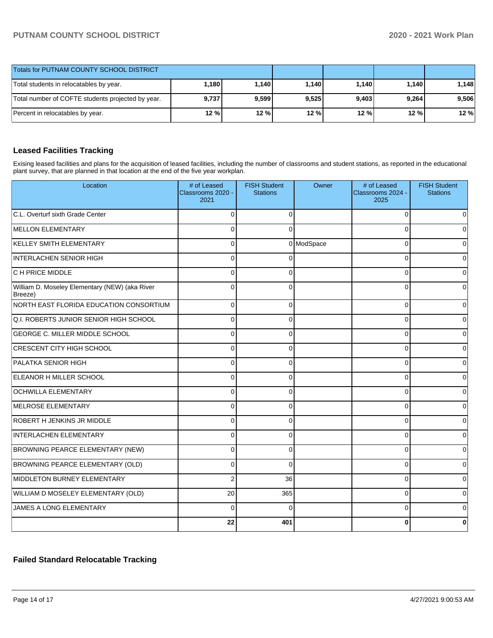| Totals for PUTNAM COUNTY SCHOOL DISTRICT          |       |         |       |       |         |       |
|---------------------------------------------------|-------|---------|-------|-------|---------|-------|
| Total students in relocatables by year.           | 1,180 | 1.140 l | 1.140 | 1.140 | 1.140 l | 1.148 |
| Total number of COFTE students projected by year. | 9,737 | 9,599   | 9,525 | 9,403 | 9,264   | 9.506 |
| Percent in relocatables by year.                  | 12 %  | 12%     | 12 %  | 12%   | 12 %    | 12%   |

# **Leased Facilities Tracking**

Exising leased facilities and plans for the acquisition of leased facilities, including the number of classrooms and student stations, as reported in the educational plant survey, that are planned in that location at the end of the five year workplan.

| Location                                                  | # of Leased<br>Classrooms 2020 -<br>2021 | <b>FISH Student</b><br><b>Stations</b> | Owner      | # of Leased<br>Classrooms 2024 -<br>2025 | <b>FISH Student</b><br><b>Stations</b> |
|-----------------------------------------------------------|------------------------------------------|----------------------------------------|------------|------------------------------------------|----------------------------------------|
| C.L. Overturf sixth Grade Center                          | $\Omega$                                 | $\Omega$                               |            | $\Omega$                                 | ∩                                      |
| MELLON ELEMENTARY                                         | $\Omega$                                 | $\Omega$                               |            | $\Omega$                                 | $\Omega$                               |
| KELLEY SMITH ELEMENTARY                                   | $\Omega$                                 |                                        | 0 ModSpace | $\Omega$                                 | ∩                                      |
| INTERLACHEN SENIOR HIGH                                   | $\Omega$                                 | $\Omega$                               |            | $\Omega$                                 | 0                                      |
| C H PRICE MIDDLE                                          | $\Omega$                                 | $\Omega$                               |            | $\Omega$                                 |                                        |
| William D. Moseley Elementary (NEW) (aka River<br>Breeze) | $\Omega$                                 | $\Omega$                               |            | $\Omega$                                 |                                        |
| NORTH EAST FLORIDA EDUCATION CONSORTIUM                   | $\Omega$                                 | $\Omega$                               |            | $\Omega$                                 | 0                                      |
| Q.I. ROBERTS JUNIOR SENIOR HIGH SCHOOL                    | $\Omega$                                 | $\Omega$                               |            | $\mathbf 0$                              | 0                                      |
| <b>GEORGE C. MILLER MIDDLE SCHOOL</b>                     | $\Omega$                                 | $\Omega$                               |            | $\Omega$                                 | 0                                      |
| <b>CRESCENT CITY HIGH SCHOOL</b>                          | $\Omega$                                 | $\Omega$                               |            | $\Omega$                                 | $\Omega$                               |
| PALATKA SENIOR HIGH                                       | $\Omega$                                 | $\Omega$                               |            | $\Omega$                                 |                                        |
| ELEANOR H MILLER SCHOOL                                   | $\Omega$                                 | $\Omega$                               |            | $\Omega$                                 |                                        |
| <b>OCHWILLA ELEMENTARY</b>                                | $\Omega$                                 | $\Omega$                               |            | $\Omega$                                 |                                        |
| MELROSE ELEMENTARY                                        | $\Omega$                                 | $\Omega$                               |            | $\Omega$                                 | $\Omega$                               |
| ROBERT H JENKINS JR MIDDLE                                | $\Omega$                                 | $\Omega$                               |            | $\Omega$                                 | $\Omega$                               |
| INTERLACHEN ELEMENTARY                                    | $\Omega$                                 | $\Omega$                               |            | $\Omega$                                 | 0                                      |
| BROWNING PEARCE ELEMENTARY (NEW)                          | $\Omega$                                 | $\Omega$                               |            | $\Omega$                                 | 0                                      |
| BROWNING PEARCE ELEMENTARY (OLD)                          | $\Omega$                                 | $\Omega$                               |            | $\Omega$                                 | 0                                      |
| MIDDLETON BURNEY ELEMENTARY                               | $\overline{2}$                           | 36                                     |            | $\Omega$                                 | 0                                      |
| WILLIAM D MOSELEY ELEMENTARY (OLD)                        | 20                                       | 365                                    |            | $\Omega$                                 | $\Omega$                               |
| JAMES A LONG ELEMENTARY                                   | $\Omega$                                 | $\Omega$                               |            | $\Omega$                                 |                                        |
|                                                           | 22                                       | 401                                    |            | 0                                        |                                        |

# **Failed Standard Relocatable Tracking**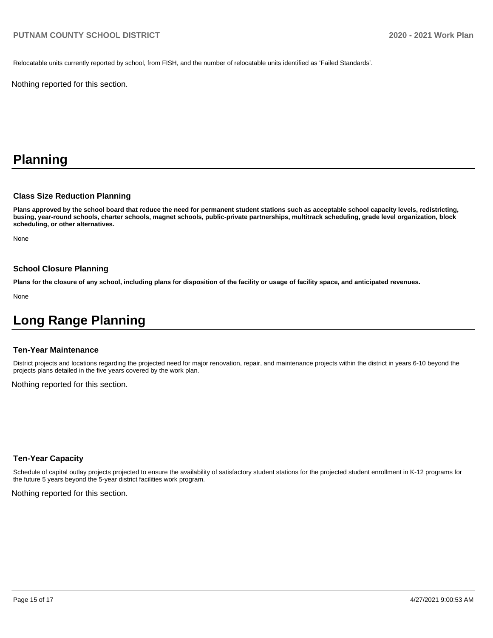Relocatable units currently reported by school, from FISH, and the number of relocatable units identified as 'Failed Standards'.

Nothing reported for this section.

# **Planning**

### **Class Size Reduction Planning**

**Plans approved by the school board that reduce the need for permanent student stations such as acceptable school capacity levels, redistricting, busing, year-round schools, charter schools, magnet schools, public-private partnerships, multitrack scheduling, grade level organization, block scheduling, or other alternatives.**

None

## **School Closure Planning**

**Plans for the closure of any school, including plans for disposition of the facility or usage of facility space, and anticipated revenues.** 

None

# **Long Range Planning**

### **Ten-Year Maintenance**

District projects and locations regarding the projected need for major renovation, repair, and maintenance projects within the district in years 6-10 beyond the projects plans detailed in the five years covered by the work plan.

Nothing reported for this section.

### **Ten-Year Capacity**

Schedule of capital outlay projects projected to ensure the availability of satisfactory student stations for the projected student enrollment in K-12 programs for the future 5 years beyond the 5-year district facilities work program.

Nothing reported for this section.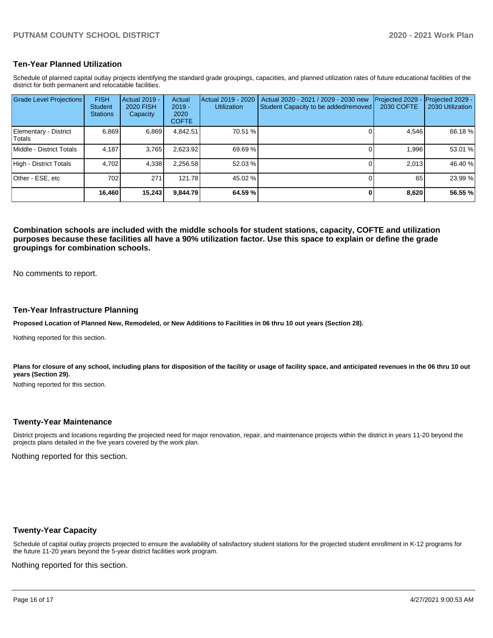### **Ten-Year Planned Utilization**

Schedule of planned capital outlay projects identifying the standard grade groupings, capacities, and planned utilization rates of future educational facilities of the district for both permanent and relocatable facilities.

| <b>Grade Level Projections</b>   | <b>FISH</b><br><b>Student</b><br><b>Stations</b> | Actual 2019 -<br>2020 FISH<br>Capacity | Actual<br>$2019 -$<br>2020<br><b>COFTE</b> | Actual 2019 - 2020<br><b>Utilization</b> | Actual 2020 - 2021 / 2029 - 2030 new<br>Student Capacity to be added/removed | Projected 2029<br>2030 COFTE | Projected 2029 -<br>2030 Utilization |
|----------------------------------|--------------------------------------------------|----------------------------------------|--------------------------------------------|------------------------------------------|------------------------------------------------------------------------------|------------------------------|--------------------------------------|
| Elementary - District<br>lTotals | 6.869                                            | 6.869                                  | 4,842.51                                   | 70.51 %                                  |                                                                              | 4.546                        | 66.18 %                              |
| Middle - District Totals         | 4.187                                            | 3,765                                  | 2,623.92                                   | 69.69 %                                  |                                                                              | 1.996                        | 53.01 %                              |
| High - District Totals           | 4.702                                            | 4,338                                  | 2,256.58                                   | 52.03 %                                  |                                                                              | 2.013                        | 46.40 %                              |
| Other - ESE, etc                 | 702                                              | 271                                    | 121.78                                     | 45.02 %                                  |                                                                              | 65                           | 23.99%                               |
|                                  | 16,460                                           | 15,243                                 | 9.844.79                                   | 64.59 %                                  |                                                                              | 8,620                        | 56.55 %                              |

**Combination schools are included with the middle schools for student stations, capacity, COFTE and utilization purposes because these facilities all have a 90% utilization factor. Use this space to explain or define the grade groupings for combination schools.** 

No comments to report.

### **Ten-Year Infrastructure Planning**

**Proposed Location of Planned New, Remodeled, or New Additions to Facilities in 06 thru 10 out years (Section 28).**

Nothing reported for this section.

Plans for closure of any school, including plans for disposition of the facility or usage of facility space, and anticipated revenues in the 06 thru 10 out **years (Section 29).**

Nothing reported for this section.

### **Twenty-Year Maintenance**

District projects and locations regarding the projected need for major renovation, repair, and maintenance projects within the district in years 11-20 beyond the projects plans detailed in the five years covered by the work plan.

Nothing reported for this section.

### **Twenty-Year Capacity**

Schedule of capital outlay projects projected to ensure the availability of satisfactory student stations for the projected student enrollment in K-12 programs for the future 11-20 years beyond the 5-year district facilities work program.

Nothing reported for this section.